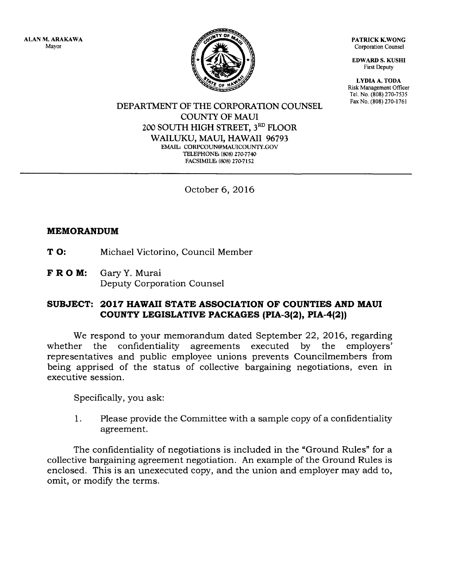ALAN M.ARAKAWA Mayor



PATRICK K.WONG Corporation Counsel

EDWARD S. KUSHI First Deputy

LYDIA A. TODA Risk Management Officer Tel. No. (808) 270-7535

DEPARTMENT OF THE CORPORATION COUNSEL COUNTY OF MAUI 2OO SOUTH HIGH STREET, 3RD FLOOR WAILUKU, MAUI, HAWAII 96793 EMAIL: CORPCOUN@MAUICOUNTY.GOV TELEPHONE: (808) 270-7740 FACSIMILE: (808) 270-7152

October 6,2016

## MEMORANDUM

**T O:** Michael Victorino, Council Member

F R O M: Gary Y. Murai Deputy Corporation Counsel

## SUBJECT: 2017 HAWAII STATE ASSOCIATION OF COUNTIES AND MAUI COUNTY LEGISLATIVE PACKAGES (PIA-3(2), PIA-4(2))

We respond to your memorandum dated September 22, 2016, regarding whether the confidentiality agreements executed by the employers' representatives and public employee unions prevents Councilmembers from being apprised of the status of collective bargaining negotiations, even in executive session.

Specifically, you ask:

1. Please provide the Committee with a sample copy of a confidentiality agreement.

The confidentiality of negotiations is included in the "Ground Rules" for a collective bargaining agreement negotiation. An example of the Ground Rules is enclosed. This is an unexecuted copy, and the union and employer may add to, omit, or modify the terms.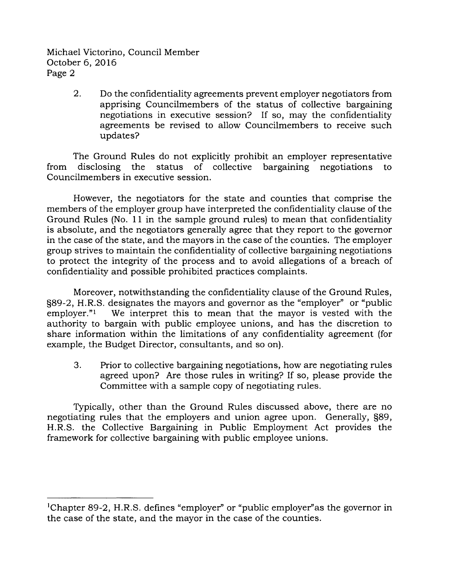Michael Victorino, Council Member October 6,2016 Page 2

> 2. Do the confidentiality agreements prevent employer negotiators from apprising Councilmembers of the status of collective bargaining negotiations in executive session? If so, may the confidentiality agreements be revised to allow Councilmembers to receive such updates?

The Ground Rules do not explicitly prohibit an employer representative from disclosing the status of collective bargaining negotiations to Councilmembers in executive session.

However, the negotiators for the state and counties that comprise the members of the employer group have interpreted the confidentiality clause of the Ground Rules (No. 11 in the sample ground rules) to mean that confidentiality is absolute, and the negotiators generally agree that they report to the governor in the case of the state, and the mayors in the case of the counties. The employer group strives to maintain the confidentiality of collective bargaining negotiations to protect the integrity of the process and to avoid allegations of a breach of confidentiality and possible prohibited practices complaints.

Moreover, notwithstanding the confidentiality clause of the Ground Rules,  $\S89-2$ , H.R.S. designates the mayors and governor as the "employer" or "public employer." We interpret this to mean that the mayor is vested with the We interpret this to mean that the mayor is vested with the authority to bargain with public employee unions, and has the discretion to share information within the limitations of any confidentiality agreement (for example, the Budget Director, consultants, and so on).

3. Prior to collective bargaining negotiations, how are negotiating rules agreed upon? Are those rules in writing? If so, please provide the Committee with a sample copy of negotiating rules.

Typically, other than the Ground Rules discussed above, there are no negotiating rules that the employers and union agree upon. Generally, S89, H.R.S. the Collective Bargaining in Public Employment Act provides the framework for collective bargaining with public employee unions.

<sup>&#</sup>x27;Chapter 89-2, H.R.S. defines "employer" or "public employer"as the governor in the case of the state, and the mayor in the case of the counties.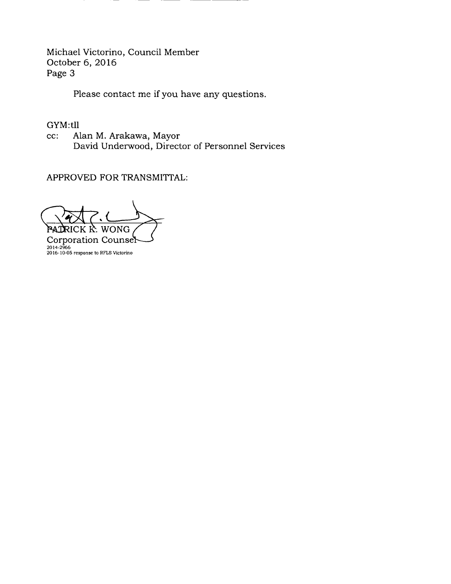Michael Victorino, Council Member October 6,2OL6 Page 3

Please contact me if you have any questions.

GYM:tlI

cc: Alan M. Arakawa, Mayor David Underwood, Director of Personnel Services

APPROVED FOR TRANSMITTAL:

**PATI** RICK K. WONG

2016-10-05 response to RFLS Victorino 2014-2966Corporation Cou